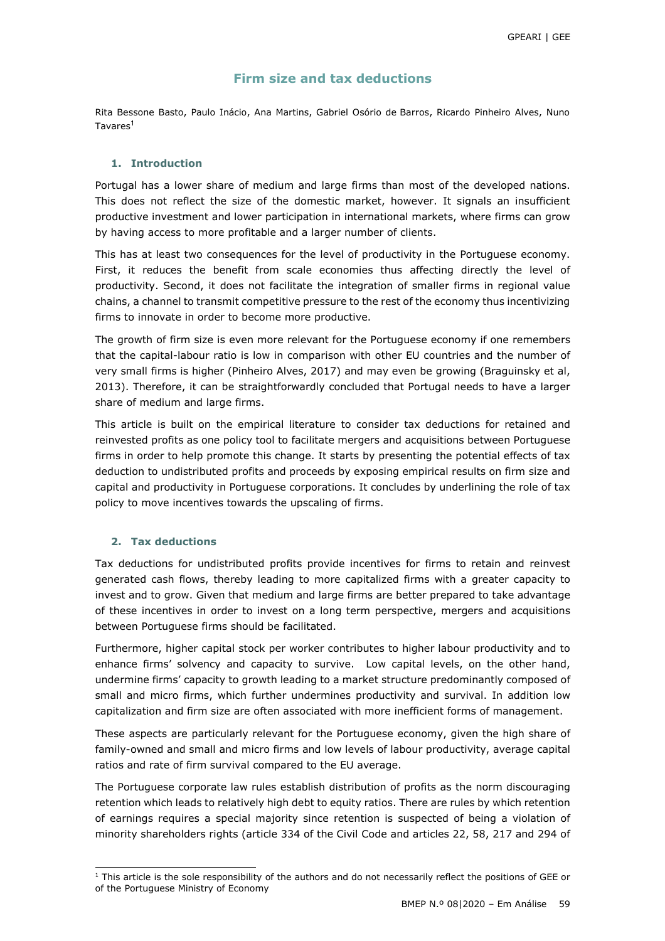## **Firm size and tax deductions**

Rita Bessone Basto, Paulo Inácio, Ana Martins, Gabriel Osório de Barros, Ricardo Pinheiro Alves, Nuno Tavares<sup>1</sup>

### **1. Introduction**

Portugal has a lower share of medium and large firms than most of the developed nations. This does not reflect the size of the domestic market, however. It signals an insufficient productive investment and lower participation in international markets, where firms can grow by having access to more profitable and a larger number of clients.

This has at least two consequences for the level of productivity in the Portuguese economy. First, it reduces the benefit from scale economies thus affecting directly the level of productivity. Second, it does not facilitate the integration of smaller firms in regional value chains, a channel to transmit competitive pressure to the rest of the economy thus incentivizing firms to innovate in order to become more productive.

The growth of firm size is even more relevant for the Portuguese economy if one remembers that the capital-labour ratio is low in comparison with other EU countries and the number of very small firms is higher (Pinheiro Alves, 2017) and may even be growing (Braguinsky et al, 2013). Therefore, it can be straightforwardly concluded that Portugal needs to have a larger share of medium and large firms.

This article is built on the empirical literature to consider tax deductions for retained and reinvested profits as one policy tool to facilitate mergers and acquisitions between Portuguese firms in order to help promote this change. It starts by presenting the potential effects of tax deduction to undistributed profits and proceeds by exposing empirical results on firm size and capital and productivity in Portuguese corporations. It concludes by underlining the role of tax policy to move incentives towards the upscaling of firms.

### **2. Tax deductions**

l

Tax deductions for undistributed profits provide incentives for firms to retain and reinvest generated cash flows, thereby leading to more capitalized firms with a greater capacity to invest and to grow. Given that medium and large firms are better prepared to take advantage of these incentives in order to invest on a long term perspective, mergers and acquisitions between Portuguese firms should be facilitated.

Furthermore, higher capital stock per worker contributes to higher labour productivity and to enhance firms' solvency and capacity to survive. Low capital levels, on the other hand, undermine firms' capacity to growth leading to a market structure predominantly composed of small and micro firms, which further undermines productivity and survival. In addition low capitalization and firm size are often associated with more inefficient forms of management.

These aspects are particularly relevant for the Portuguese economy, given the high share of family-owned and small and micro firms and low levels of labour productivity, average capital ratios and rate of firm survival compared to the EU average.

The Portuguese corporate law rules establish distribution of profits as the norm discouraging retention which leads to relatively high debt to equity ratios. There are rules by which retention of earnings requires a special majority since retention is suspected of being a violation of minority shareholders rights (article 334 of the Civil Code and articles 22, 58, 217 and 294 of

<sup>&</sup>lt;sup>1</sup> This article is the sole responsibility of the authors and do not necessarily reflect the positions of GEE or of the Portuguese Ministry of Economy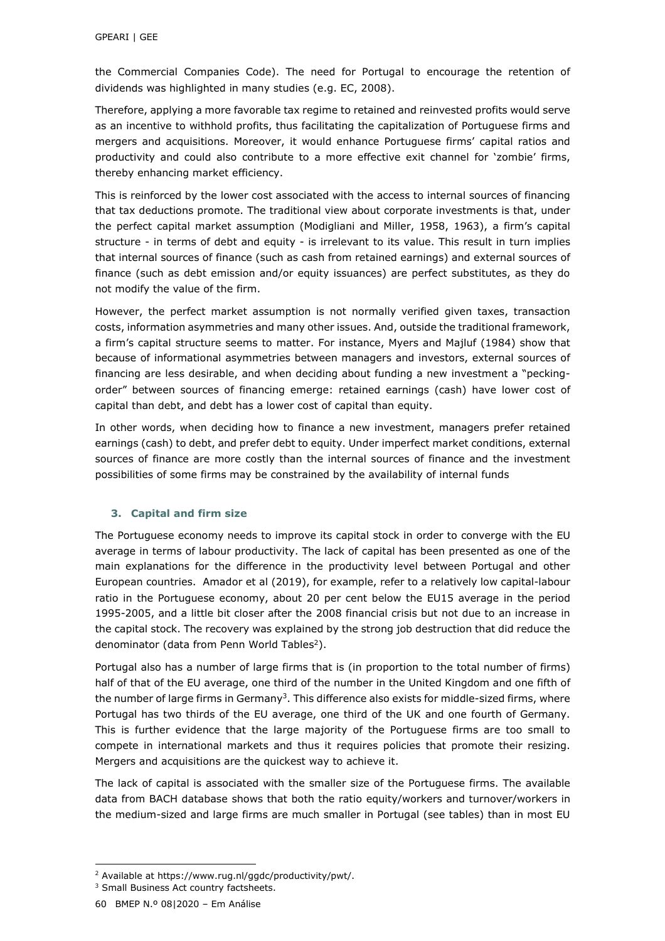the Commercial Companies Code). The need for Portugal to encourage the retention of dividends was highlighted in many studies (e.g. EC, 2008).

Therefore, applying a more favorable tax regime to retained and reinvested profits would serve as an incentive to withhold profits, thus facilitating the capitalization of Portuguese firms and mergers and acquisitions. Moreover, it would enhance Portuguese firms' capital ratios and productivity and could also contribute to a more effective exit channel for 'zombie' firms, thereby enhancing market efficiency.

This is reinforced by the lower cost associated with the access to internal sources of financing that tax deductions promote. The traditional view about corporate investments is that, under the perfect capital market assumption (Modigliani and Miller, 1958, 1963), a firm's capital structure - in terms of debt and equity - is irrelevant to its value. This result in turn implies that internal sources of finance (such as cash from retained earnings) and external sources of finance (such as debt emission and/or equity issuances) are perfect substitutes, as they do not modify the value of the firm.

However, the perfect market assumption is not normally verified given taxes, transaction costs, information asymmetries and many other issues. And, outside the traditional framework, a firm's capital structure seems to matter. For instance, Myers and Majluf (1984) show that because of informational asymmetries between managers and investors, external sources of financing are less desirable, and when deciding about funding a new investment a "peckingorder" between sources of financing emerge: retained earnings (cash) have lower cost of capital than debt, and debt has a lower cost of capital than equity.

In other words, when deciding how to finance a new investment, managers prefer retained earnings (cash) to debt, and prefer debt to equity. Under imperfect market conditions, external sources of finance are more costly than the internal sources of finance and the investment possibilities of some firms may be constrained by the availability of internal funds

### **3. Capital and firm size**

The Portuguese economy needs to improve its capital stock in order to converge with the EU average in terms of labour productivity. The lack of capital has been presented as one of the main explanations for the difference in the productivity level between Portugal and other European countries. Amador et al (2019), for example, refer to a relatively low capital-labour ratio in the Portuguese economy, about 20 per cent below the EU15 average in the period 1995-2005, and a little bit closer after the 2008 financial crisis but not due to an increase in the capital stock. The recovery was explained by the strong job destruction that did reduce the denominator (data from Penn World Tables<sup>2</sup>).

Portugal also has a number of large firms that is (in proportion to the total number of firms) half of that of the EU average, one third of the number in the United Kingdom and one fifth of the number of large firms in Germany<sup>3</sup>. This difference also exists for middle-sized firms, where Portugal has two thirds of the EU average, one third of the UK and one fourth of Germany. This is further evidence that the large majority of the Portuguese firms are too small to compete in international markets and thus it requires policies that promote their resizing. Mergers and acquisitions are the quickest way to achieve it.

The lack of capital is associated with the smaller size of the Portuguese firms. The available data from BACH database shows that both the ratio equity/workers and turnover/workers in the medium-sized and large firms are much smaller in Portugal (see tables) than in most EU

l

<sup>2</sup> Available at https://www.rug.nl/ggdc/productivity/pwt/.

<sup>&</sup>lt;sup>3</sup> Small Business Act country factsheets.

<sup>60</sup> BMEP N.º 08|2020 – Em Análise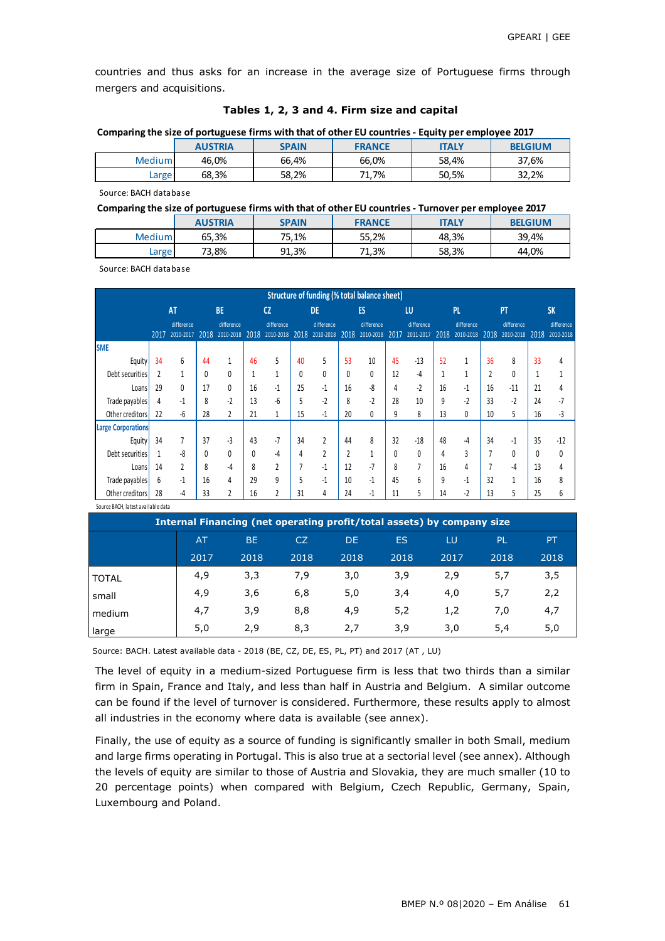countries and thus asks for an increase in the average size of Portuguese firms through mergers and acquisitions.

|  |  | Comparing the size of portuguese firms with that of other EU countries - Equity per employee 2017 |  |  |
|--|--|---------------------------------------------------------------------------------------------------|--|--|
|  |  |                                                                                                   |  |  |

|               | <b>AUSTRIA</b> | <b>SPAIN</b> | <b>FRANCE</b> | <b>ITALY</b> | <b>BELGIUM</b> |
|---------------|----------------|--------------|---------------|--------------|----------------|
| <b>Medium</b> | 46,0%          | 66,4%        | 66,0%         | 58.4%        | 37,6%          |
| Large         | 68,3%          | 58,2%        | 1.7%<br>71    | 50,5%        | 32.2%          |

Source: BACH database

| Comparing the size of portuguese firms with that of other EU countries - Turnover per employee 2017 |  |
|-----------------------------------------------------------------------------------------------------|--|
|-----------------------------------------------------------------------------------------------------|--|

|        | <b>AUSTRIA</b> | <b>SPAIN</b> | <b>FRANCE</b> | <b>ITALY</b> | <b>BELGIUM</b> |
|--------|----------------|--------------|---------------|--------------|----------------|
| Medium | 65,3%          | 75.1%        | 55,2%         | 48,3%        | 39,4%          |
| Large  | 73,8%          | 91,3%        | 71,3%         | 58,3%        | 44,0%          |

Source: BACH database

|                           |      |                         |      |                         |      |                         |      | Structure of funding (% total balance sheet) |      |                         |      |                         |              |                         |                |                         |      |                         |
|---------------------------|------|-------------------------|------|-------------------------|------|-------------------------|------|----------------------------------------------|------|-------------------------|------|-------------------------|--------------|-------------------------|----------------|-------------------------|------|-------------------------|
|                           |      | <b>AT</b>               |      | <b>BE</b>               |      | <sub>CZ</sub>           |      | <b>DE</b>                                    |      | ES                      |      | LU                      |              | PL                      |                | PT                      |      | <b>SK</b>               |
|                           | 2017 | difference<br>2010-2017 | 2018 | difference<br>2010-2018 | 2018 | difference<br>2010-2018 | 2018 | difference<br>2010-2018                      | 2018 | difference<br>2010-2018 | 2017 | difference<br>2011-2017 | 2018         | difference<br>2010-2018 | 2018           | difference<br>2010-2018 | 2018 | difference<br>2010-2018 |
| <b>SME</b>                |      |                         |      |                         |      |                         |      |                                              |      |                         |      |                         |              |                         |                |                         |      |                         |
| Equity                    | 34   | 6                       | 44   | 1                       | 46   | 5                       | 40   | 5                                            | 53   | 10                      | 45   | $-13$                   | 52           |                         | 36             | 8                       | 33   |                         |
| Debt securities           | 2    |                         | 0    | 0                       |      | 1                       | 0    | 0                                            | 0    | 0                       | 12   | -4                      | $\mathbf{1}$ | 1                       | $\overline{2}$ | Ω                       |      |                         |
| Loans                     | 29   | 0                       | 17   | 0                       | 16   | $-1$                    | 25   | -1                                           | 16   | -8                      | 4    | $-2$                    | 16           | -1                      | 16             | $-11$                   | 21   |                         |
| Trade payables            | 4    | -1                      | 8    | $-2$                    | 13   | -6                      | 5    | $-2$                                         | 8    | $-2$                    | 28   | 10                      | 9            | $-2$                    | 33             | $-2$                    | 24   |                         |
| Other creditors           | 22   | -6                      | 28   |                         | 21   | 1                       | 15   | -1                                           | 20   |                         | 9    | 8                       | 13           | 0                       | 10             | 5                       | 16   | -3                      |
| <b>Large Corporations</b> |      |                         |      |                         |      |                         |      |                                              |      |                         |      |                         |              |                         |                |                         |      |                         |
| Equity                    | 34   | 7                       | 37   | $-3$                    | 43   | $-7$                    | 34   | 2                                            | 44   | 8                       | 32   | $-18$                   | 48           | -4                      | 34             | -1                      | 35   | $-12$                   |
| Debt securities           | 1    | -8                      | 0    | 0                       | 0    | -4                      | 4    | 2                                            | 2    |                         | 0    | 0                       | 4            | 3                       |                | U                       | Λ    | 0                       |
| Loans                     | 14   | $\overline{2}$          | 8    | -4                      | 8    | $\overline{2}$          | 7    | $-1$                                         | 12   | $-7$                    | 8    | $\overline{7}$          | 16           | 4                       |                | -4                      | 13   |                         |
| Trade payables            | 6    | $-1$                    | 16   | 4                       | 29   | 9                       | 5    | $-1$                                         | 10   | $-1$                    | 45   | 6                       | 9            | $-1$                    | 32             | 1                       | 16   | 8                       |
| Other creditors           | 28   | -4                      | 33   |                         | 16   | 2                       | 31   | 4                                            | 24   | -1                      | 11   | 5                       | 14           | $-2$                    | 13             |                         | 25   | 6                       |

Source BACH, latest available data

| Internal Financing (net operating profit/total assets) by company size |                |           |      |      |           |      |      |      |  |  |  |  |  |
|------------------------------------------------------------------------|----------------|-----------|------|------|-----------|------|------|------|--|--|--|--|--|
|                                                                        | A <sub>T</sub> | <b>BE</b> | CZ.  | DE.  | <b>ES</b> | LU   | PL.  | PT   |  |  |  |  |  |
|                                                                        | 2017           | 2018      | 2018 | 2018 | 2018      | 2017 | 2018 | 2018 |  |  |  |  |  |
| <b>TOTAL</b>                                                           | 4,9            | 3,3       | 7,9  | 3,0  | 3,9       | 2,9  | 5,7  | 3,5  |  |  |  |  |  |
| small                                                                  | 4,9            | 3,6       | 6,8  | 5,0  | 3,4       | 4,0  | 5,7  | 2,2  |  |  |  |  |  |
| medium                                                                 | 4,7            | 3,9       | 8,8  | 4,9  | 5,2       | 1,2  | 7,0  | 4,7  |  |  |  |  |  |
| large                                                                  | 5,0            | 2,9       | 8,3  | 2,7  | 3,9       | 3,0  | 5,4  | 5,0  |  |  |  |  |  |

Source: BACH. Latest available data - 2018 (BE, CZ, DE, ES, PL, PT) and 2017 (AT , LU)

The level of equity in a medium-sized Portuguese firm is less that two thirds than a similar firm in Spain, France and Italy, and less than half in Austria and Belgium. A similar outcome can be found if the level of turnover is considered. Furthermore, these results apply to almost all industries in the economy where data is available (see annex).

Finally, the use of equity as a source of funding is significantly smaller in both Small, medium and large firms operating in Portugal. This is also true at a sectorial level (see annex). Although the levels of equity are similar to those of Austria and Slovakia, they are much smaller (10 to 20 percentage points) when compared with Belgium, Czech Republic, Germany, Spain, Luxembourg and Poland.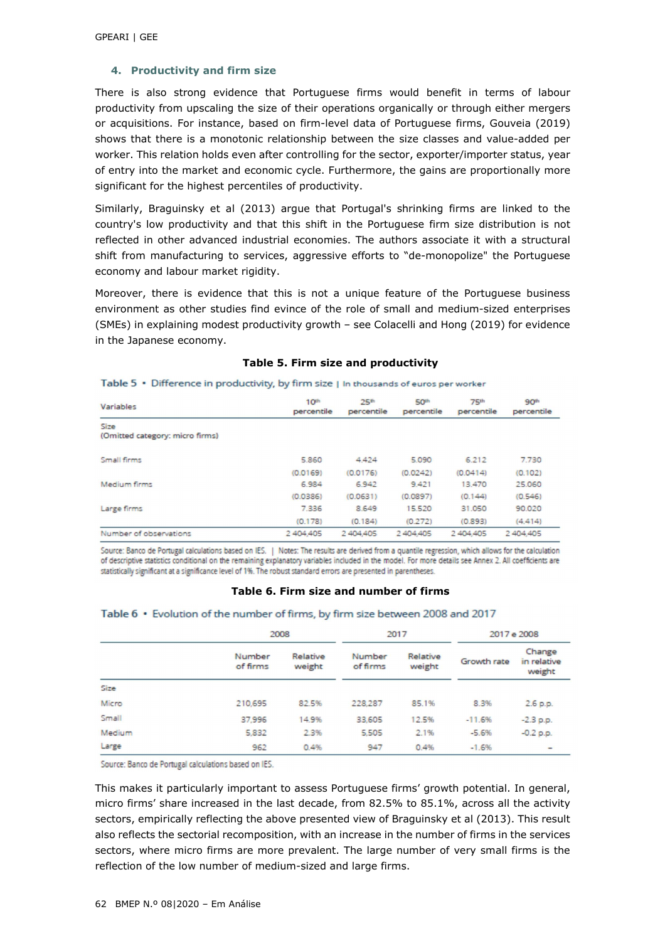### **4. Productivity and firm size**

There is also strong evidence that Portuguese firms would benefit in terms of labour productivity from upscaling the size of their operations organically or through either mergers or acquisitions. For instance, based on firm-level data of Portuguese firms, Gouveia (2019) shows that there is a monotonic relationship between the size classes and value-added per worker. This relation holds even after controlling for the sector, exporter/importer status, year of entry into the market and economic cycle. Furthermore, the gains are proportionally more significant for the highest percentiles of productivity.

Similarly, Braguinsky et al (2013) argue that Portugal's shrinking firms are linked to the country's low productivity and that this shift in the Portuguese firm size distribution is not reflected in other advanced industrial economies. The authors associate it with a structural shift from manufacturing to services, aggressive efforts to "de-monopolize" the Portuguese economy and labour market rigidity.

Moreover, there is evidence that this is not a unique feature of the Portuguese business environment as other studies find evince of the role of small and medium-sized enterprises (SMEs) in explaining modest productivity growth – see Colacelli and Hong (2019) for evidence in the Japanese economy.

| Variables                               | 10 <sup>th</sup><br>percentile | 25 <sup>th</sup><br>percentile | <b>50th</b><br>percentile | 75 <sup>th</sup><br>percentile | 90 <sup>th</sup><br>percentile |
|-----------------------------------------|--------------------------------|--------------------------------|---------------------------|--------------------------------|--------------------------------|
| Size<br>(Omitted category: micro firms) |                                |                                |                           |                                |                                |
| Small firms                             | 5.860                          | 4.424                          | 5.090                     | 6.212                          | 7.730                          |
|                                         | (0.0169)                       | (0.0176)                       | (0.0242)                  | (0.0414)                       | (0.102)                        |
| Medium firms                            | 6.984                          | 6942                           | 9.421                     | 13,470                         | 25,060                         |
|                                         | (0.0386)                       | (0.0631)                       | (0.0897)                  | (0.144)                        | (0.546)                        |
| Large firms                             | 7.336                          | 8.649                          | 15.520                    | 31,050                         | 90.020                         |
|                                         | (0.178)                        | (0.184)                        | (0.272)                   | (0.893)                        | (4.414)                        |
| Number of observations                  | 2 404,405                      | 2404,405                       | 2 404 405                 | 2 404 405                      | 2 404 405                      |

Table 5 . Difference in productivity, by firm size | In thousands of euros per worker

### **Table 5. Firm size and productivity**

Source: Banco de Portugal calculations based on IES. | Notes: The results are derived from a quantile regression, which allows for the calculation of descriptive statistics conditional on the remaining explanatory variables included in the model. For more details see Annex 2. All coefficients are statistically significant at a significance level of 1%. The robust standard errors are presented in parentheses.

### **Table 6. Firm size and number of firms**

|        | 2008               |                    |                    | 2017               | 2017 e 2008 |                                 |  |
|--------|--------------------|--------------------|--------------------|--------------------|-------------|---------------------------------|--|
|        | Number<br>of firms | Relative<br>weight | Number<br>of firms | Relative<br>weight | Growth rate | Change<br>in relative<br>weight |  |
| Size   |                    |                    |                    |                    |             |                                 |  |
| Micro  | 210,695            | 82.5%              | 228,287            | 85.1%              | 8.3%        | 2.6 p.p.                        |  |
| Small  | 37,996             | 14.9%              | 33,605             | 12.5%              | $-11.6%$    | $-2.3$ p.p.                     |  |
| Medium | 5,832              | 2.3%               | 5,505              | 2.1%               | $-5.6%$     | $-0.2$ p.p.                     |  |
| Large  | 962                | 0.4%               | 947                | 0.4%               | $-1.6%$     | -                               |  |

#### Table 6 • Evolution of the number of firms, by firm size between 2008 and 2017

Source: Banco de Portugal calculations based on IES.

This makes it particularly important to assess Portuguese firms' growth potential. In general, micro firms' share increased in the last decade, from 82.5% to 85.1%, across all the activity sectors, empirically reflecting the above presented view of Braguinsky et al (2013). This result also reflects the sectorial recomposition, with an increase in the number of firms in the services sectors, where micro firms are more prevalent. The large number of very small firms is the reflection of the low number of medium-sized and large firms.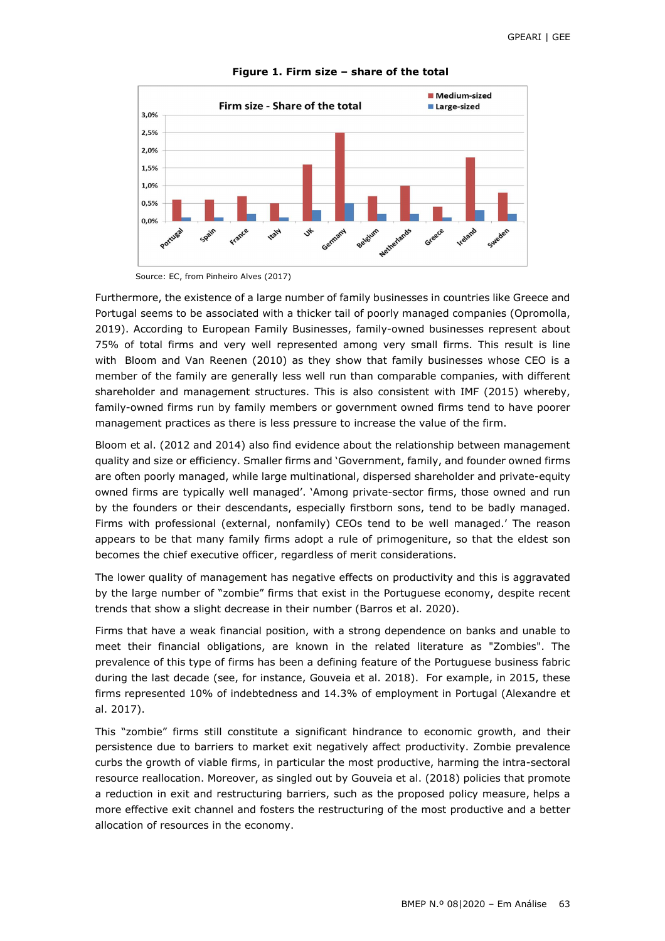

**Figure 1. Firm size – share of the total** 

Source: EC, from Pinheiro Alves (2017)

Furthermore, the existence of a large number of family businesses in countries like Greece and Portugal seems to be associated with a thicker tail of poorly managed companies (Opromolla, 2019). According to European Family Businesses, family-owned businesses represent about 75% of total firms and very well represented among very small firms. This result is line with Bloom and Van Reenen (2010) as they show that family businesses whose CEO is a member of the family are generally less well run than comparable companies, with different shareholder and management structures. This is also consistent with IMF (2015) whereby, family-owned firms run by family members or government owned firms tend to have poorer management practices as there is less pressure to increase the value of the firm.

Bloom et al. (2012 and 2014) also find evidence about the relationship between management quality and size or efficiency. Smaller firms and 'Government, family, and founder owned firms are often poorly managed, while large multinational, dispersed shareholder and private-equity owned firms are typically well managed'. 'Among private-sector firms, those owned and run by the founders or their descendants, especially firstborn sons, tend to be badly managed. Firms with professional (external, nonfamily) CEOs tend to be well managed.' The reason appears to be that many family firms adopt a rule of primogeniture, so that the eldest son becomes the chief executive officer, regardless of merit considerations.

The lower quality of management has negative effects on productivity and this is aggravated by the large number of "zombie" firms that exist in the Portuguese economy, despite recent trends that show a slight decrease in their number (Barros et al. 2020).

Firms that have a weak financial position, with a strong dependence on banks and unable to meet their financial obligations, are known in the related literature as "Zombies". The prevalence of this type of firms has been a defining feature of the Portuguese business fabric during the last decade (see, for instance, Gouveia et al. 2018). For example, in 2015, these firms represented 10% of indebtedness and 14.3% of employment in Portugal (Alexandre et al. 2017).

This "zombie" firms still constitute a significant hindrance to economic growth, and their persistence due to barriers to market exit negatively affect productivity. Zombie prevalence curbs the growth of viable firms, in particular the most productive, harming the intra-sectoral resource reallocation. Moreover, as singled out by Gouveia et al. (2018) policies that promote a reduction in exit and restructuring barriers, such as the proposed policy measure, helps a more effective exit channel and fosters the restructuring of the most productive and a better allocation of resources in the economy.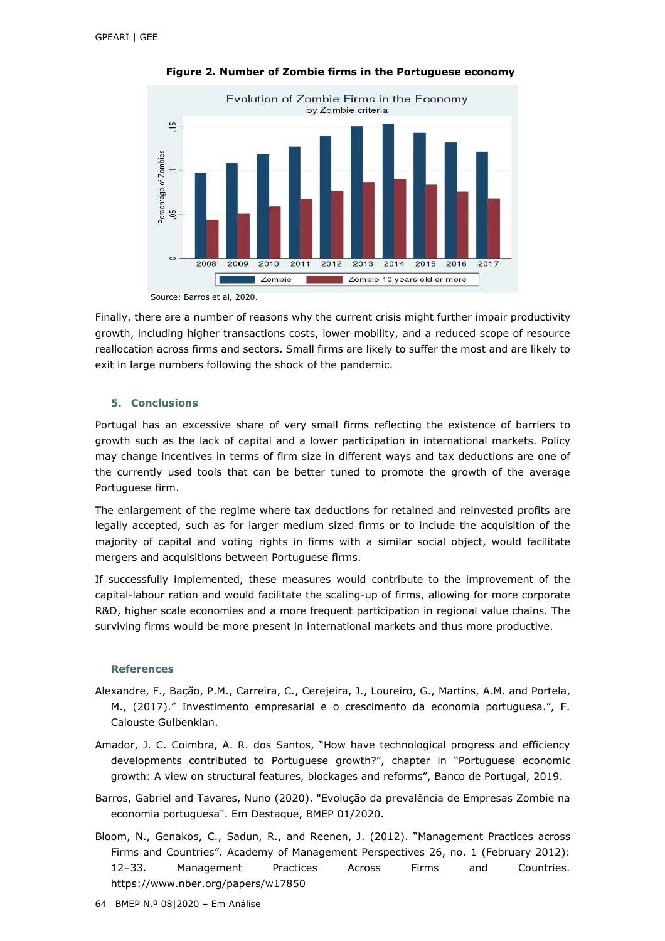

**Figure 2. Number of Zombie firms in the Portuguese economy** 

Source: Barros et al, 2020.

Finally, there are a number of reasons why the current crisis might further impair productivity growth, including higher transactions costs, lower mobility, and a reduced scope of resource reallocation across firms and sectors. Small firms are likely to suffer the most and are likely to exit in large numbers following the shock of the pandemic.

### **5. Conclusions**

Portugal has an excessive share of very small firms reflecting the existence of barriers to growth such as the lack of capital and a lower participation in international markets. Policy may change incentives in terms of firm size in different ways and tax deductions are one of the currently used tools that can be better tuned to promote the growth of the average Portuguese firm.

The enlargement of the regime where tax deductions for retained and reinvested profits are legally accepted, such as for larger medium sized firms or to include the acquisition of the majority of capital and voting rights in firms with a similar social object, would facilitate mergers and acquisitions between Portuguese firms.

If successfully implemented, these measures would contribute to the improvement of the capital-labour ration and would facilitate the scaling-up of firms, allowing for more corporate R&D, higher scale economies and a more frequent participation in regional value chains. The surviving firms would be more present in international markets and thus more productive.

### **References**

- Alexandre, F., Bação, P.M., Carreira, C., Cerejeira, J., Loureiro, G., Martins, A.M. and Portela, M., (2017)." Investimento empresarial e o crescimento da economia portuguesa.", F. Calouste Gulbenkian.
- Amador, J. C. Coimbra, A. R. dos Santos, "How have technological progress and efficiency developments contributed to Portuguese growth?", chapter in "Portuguese economic growth: A view on structural features, blockages and reforms", Banco de Portugal, 2019.
- Barros, Gabriel and Tavares, Nuno (2020). "Evolução da prevalência de Empresas Zombie na economia portuguesa". Em Destaque, BMEP 01/2020.
- Bloom, N., Genakos, C., Sadun, R., and Reenen, J. (2012). "Management Practices across Firms and Countries". Academy of Management Perspectives 26, no. 1 (February 2012): 12–33. Management Practices Across Firms and Countries. https://www.nber.org/papers/w17850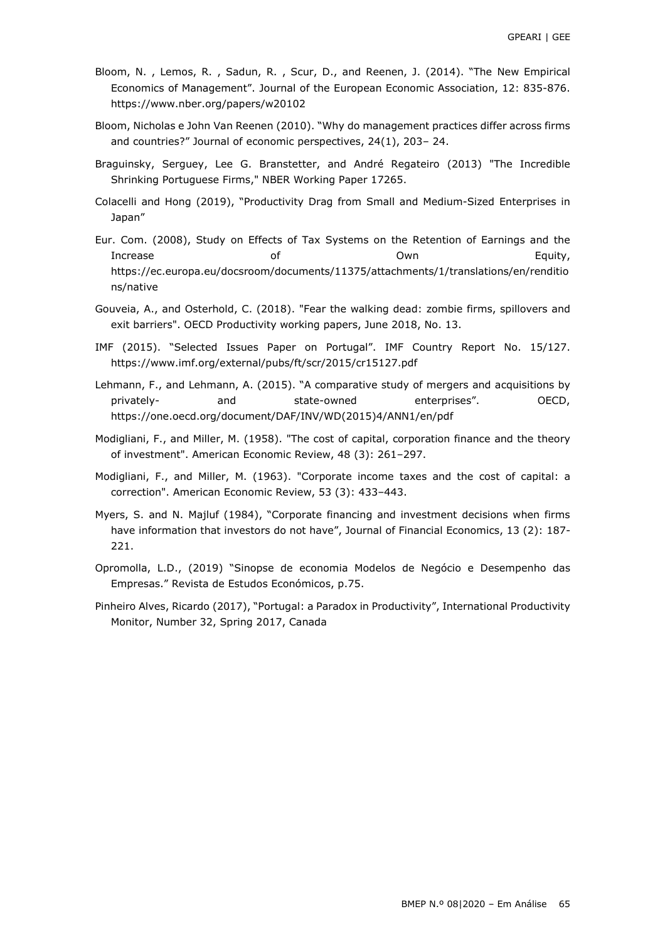- Bloom, N. , Lemos, R. , Sadun, R. , Scur, D., and Reenen, J. (2014). "The New Empirical Economics of Management". Journal of the European Economic Association, 12: 835-876. https://www.nber.org/papers/w20102
- Bloom, Nicholas e John Van Reenen (2010). "Why do management practices differ across firms and countries?" Journal of economic perspectives, 24(1), 203– 24.
- Braguinsky, Serguey, Lee G. Branstetter, and André Regateiro (2013) "The Incredible Shrinking Portuguese Firms," NBER Working Paper 17265.
- Colacelli and Hong (2019), "Productivity Drag from Small and Medium-Sized Enterprises in Japan"
- Eur. Com. (2008), Study on Effects of Tax Systems on the Retention of Earnings and the Increase of Own Equity, https://ec.europa.eu/docsroom/documents/11375/attachments/1/translations/en/renditio ns/native
- Gouveia, A., and Osterhold, C. (2018). "Fear the walking dead: zombie firms, spillovers and exit barriers". OECD Productivity working papers, June 2018, No. 13.
- IMF (2015). "Selected Issues Paper on Portugal". IMF Country Report No. 15/127. https://www.imf.org/external/pubs/ft/scr/2015/cr15127.pdf
- Lehmann, F., and Lehmann, A. (2015). "A comparative study of mergers and acquisitions by privately- and state-owned enterprises". OECD, https://one.oecd.org/document/DAF/INV/WD(2015)4/ANN1/en/pdf
- Modigliani, F., and Miller, M. (1958). "The cost of capital, corporation finance and the theory of investment". American Economic Review, 48 (3): 261–297.
- Modigliani, F., and Miller, M. (1963). "Corporate income taxes and the cost of capital: a correction". American Economic Review, 53 (3): 433–443.
- Myers, S. and N. Majluf (1984), "Corporate financing and investment decisions when firms have information that investors do not have", Journal of Financial Economics, 13 (2): 187- 221.
- Opromolla, L.D., (2019) "Sinopse de economia Modelos de Negócio e Desempenho das Empresas." Revista de Estudos Económicos, p.75.
- Pinheiro Alves, Ricardo (2017), "Portugal: a Paradox in Productivity", International Productivity Monitor, Number 32, Spring 2017, Canada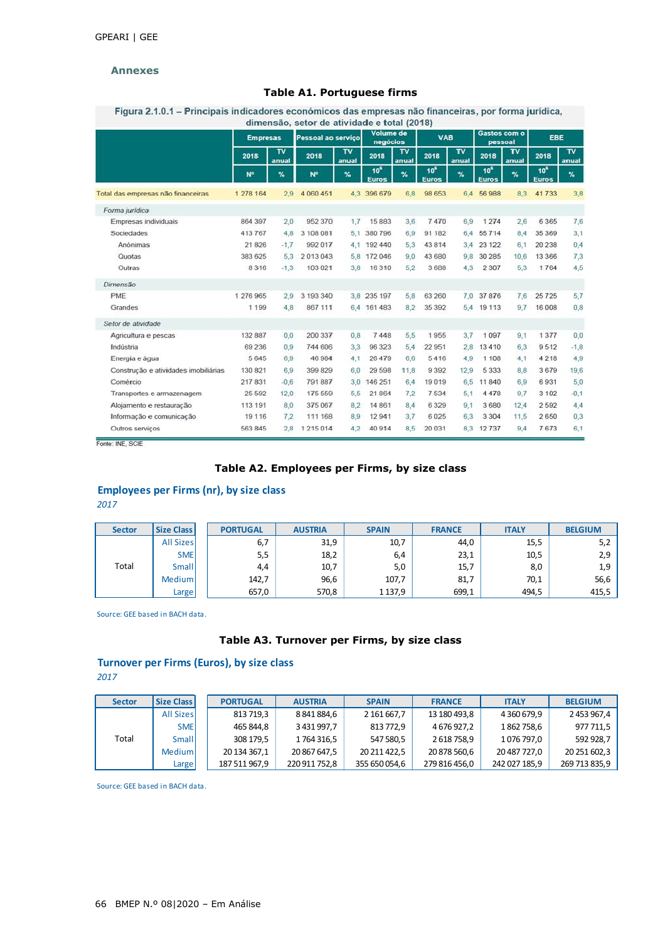### **Annexes**

### **Table A1. Portuguese firms**

Figura 2.1.0.1 - Principais indicadores económicos das empresas não financeiras, por forma jurídica,

|                                      | <b>Empresas</b> |                         | Pessoal ao servico |                                  | Volume de<br>negócios           |                                  | <b>VAB</b>                      |                                             | Gastos com o<br>pessoal         |             | EBE                             |                         |
|--------------------------------------|-----------------|-------------------------|--------------------|----------------------------------|---------------------------------|----------------------------------|---------------------------------|---------------------------------------------|---------------------------------|-------------|---------------------------------|-------------------------|
|                                      | 2018            | $\overline{v}$<br>anual | 2018               | $\overline{\mathsf{r}}$<br>anual | 2018                            | $\overline{\mathbf{v}}$<br>anual | 2018                            | $\overline{\mathsf{r} \mathsf{v}}$<br>anual | 2018                            | TV<br>anual | 2018                            | $\overline{v}$<br>anual |
|                                      | N <sup>o</sup>  | $\%$                    | $N^{\circ}$        | $\gamma_{\rm o}$                 | 10 <sup>6</sup><br><b>Euros</b> | %                                | 10 <sup>c</sup><br><b>Euros</b> | $\%$                                        | 10 <sup>c</sup><br><b>Euros</b> | %           | 10 <sup>6</sup><br><b>Euros</b> | %                       |
| Total das empresas não financeiras   | 1 278 164       | 2.9                     | 4 060 451          |                                  | 4.3 396 679                     | 6.8                              | 98 653                          | 6.4                                         | 56988                           | 8.3         | 41733                           | 3,8                     |
| Forma jurídica                       |                 |                         |                    |                                  |                                 |                                  |                                 |                                             |                                 |             |                                 |                         |
| Empresas individuais                 | 864 397         | 2.0                     | 952 370            | 1.7                              | 15883                           | 3,6                              | 7470                            | 6.9                                         | 1 2 7 4                         | 2.6         | 6 3 6 5                         | 7,6                     |
| Sociedades                           | 413 767         | 4.8                     | 3 108 081          | 5.1                              | 380 796                         | 6.9                              | 91 182                          | 6.4                                         | 55 714                          | 8.4         | 35 369                          | 3,1                     |
| Anónimas                             | 21 826          | $-1.7$                  | 992 017            | 4,1                              | 192 440                         | 5.3                              | 43 814                          | 3,4                                         | 23 122                          | 6.1         | 20 238                          | 0.4                     |
| Quotas                               | 383 625         | 5.3                     | 2013043            | 5.8                              | 172 046                         | 9.0                              | 43 680                          | 9.8                                         | 30 285                          | 10.6        | 13 366                          | 7.3                     |
| Outras                               | 8316            | $-1.3$                  | 103 021            | 3.8                              | 16 310                          | 5,2                              | 3 6 8 8                         | 4,3                                         | 2 3 0 7                         | 5,3         | 1764                            | 4,5                     |
| Dimensão                             |                 |                         |                    |                                  |                                 |                                  |                                 |                                             |                                 |             |                                 |                         |
| PME                                  | 1 276 965       | 2.9                     | 3 193 340          |                                  | 3.8 235 197                     | 5,8                              | 63 260                          | 7.0                                         | 37876                           | 7.6         | 25 7 25                         | 5.7                     |
| Grandes                              | 1 199           | 4.8                     | 867 111            |                                  | 6.4 161 483                     | 8.2                              | 35 392                          | 5.4                                         | 19 113                          | 9.7         | 16 008                          | 0.8                     |
| Setor de atividade                   |                 |                         |                    |                                  |                                 |                                  |                                 |                                             |                                 |             |                                 |                         |
| Agricultura e pescas                 | 132 887         | 0.0                     | 200 337            | 0,8                              | 7448                            | 5,5                              | 1955                            | 3.7                                         | 1097                            | 9,1         | 1 3 7 7                         | 0,0                     |
| Indústria                            | 69 236          | 0.9                     | 744 606            | 3.3                              | 96 323                          | 5.4                              | 22 951                          | 2.8                                         | 13410                           | 6.3         | 9512                            | $-1.8$                  |
| Energia e água                       | 5645            | 6.9                     | 46 984             | 4.1                              | 26 479                          | 6.6                              | 5416                            | 4.9                                         | 1 108                           | 4.1         | 4 218                           | 4,9                     |
| Construção e atividades imobiliárias | 130 821         | 6.9                     | 399 829            | 6,0                              | 29 5 98                         | 11,8                             | 9392                            | 12.9                                        | 5 3 3 3                         | 8.8         | 3679                            | 19,6                    |
| Comércio                             | 217 831         | $-0.6$                  | 791887             | 3.0                              | 146 251                         | 6.4                              | 19019                           | 6.5                                         | 11840                           | 6.9         | 6931                            | 5.0                     |
| Transportes e armazenagem            | 25 5 9 2        | 12.0                    | 175 559            | 5.5                              | 21 864                          | 7.2                              | 7534                            | 5,1                                         | 4 4 7 8                         | 9.7         | 3 10 2                          | $-0.1$                  |
| Alojamento e restauração             | 113 191         | 8.0                     | 375 067            | 8.2                              | 14 861                          | 8.4                              | 6329                            | 9.1                                         | 3680                            | 12.4        | 2592                            | 4,4                     |
| Informação e comunicação             | 19 116          | 7.2                     | 111 168            | 8.9                              | 12941                           | 3,7                              | 6025                            | 6.3                                         | 3 3 0 4                         | 11,5        | 2650                            | 0,3                     |
| Outros servicos                      | 563 845         | 2.8                     | 1 215 014          | 4.2                              | 40914                           | 8,5                              | 20 031                          | 8,3                                         | 12737                           | 9.4         | 7673                            | 6,1                     |

Fonte: INE, SCIE

## **Table A2. Employees per Firms, by size class**

## **Employees per Firms (nr), by size class**

*2017*

| <b>Sector</b> | Size Class       | <b>PORTUGAL</b> | <b>AUSTRIA</b> | <b>SPAIN</b> | <b>FRANCE</b> | <b>ITALY</b> | <b>BELGIUM</b> |
|---------------|------------------|-----------------|----------------|--------------|---------------|--------------|----------------|
|               | <b>All Sizes</b> | 6,7             | 31,9           | 10,7         | 44,0          | 15,5         | 5,2            |
|               | <b>SME</b>       | 5,5             | 18,2           | 6,4          | 23,1          | 10,5         | 2,9            |
| Total         | Small            | 4,4             | 10,7           | 5,0          | 15,7          | 8,0          | 1,9            |
|               | Medium           | 142,7           | 96,6           | 107,7        | 81,7          | 70,1         | 56,6           |
|               | Large            | 657,0           | 570,8          | 1 1 3 7 , 9  | 699,1         | 494,5        | 415,5          |

Source: GEE based in BACH data.

### **Table A3. Turnover per Firms, by size class**

## **Turnover per Firms (Euros), by size class** *2017*

| <b>Sector</b> | <b>Size Class</b> | <b>PORTUGAL</b> | <b>AUSTRIA</b> | <b>SPAIN</b>  | <b>FRANCE</b> | <b>ITALY</b>  | <b>BELGIUM</b> |
|---------------|-------------------|-----------------|----------------|---------------|---------------|---------------|----------------|
|               | <b>All Sizes</b>  | 813 719,3       | 8 841 884,6    | 2 161 667.7   | 13 180 493.8  | 4 360 679.9   | 2453967.4      |
|               | <b>SMEI</b>       | 465 844,8       | 3 431 997,7    | 813 772,9     | 4 676 927,2   | 1862758,6     | 977 711,5      |
| Total         | Small             | 308 179.5       | 1764316.5      | 547 580,5     | 2 618 758.9   | 1076 797.0    | 592 928.7      |
|               | Mediuml           | 20 134 367.1    | 20 867 647,5   | 20 211 422.5  | 20 878 560,6  | 20 487 727,0  | 20 251 602,3   |
|               | Large             | 187 511 967,9   | 220 911 752,8  | 355 650 054,6 | 279 816 456,0 | 242 027 185,9 | 269 713 835,9  |

Source: GEE based in BACH data.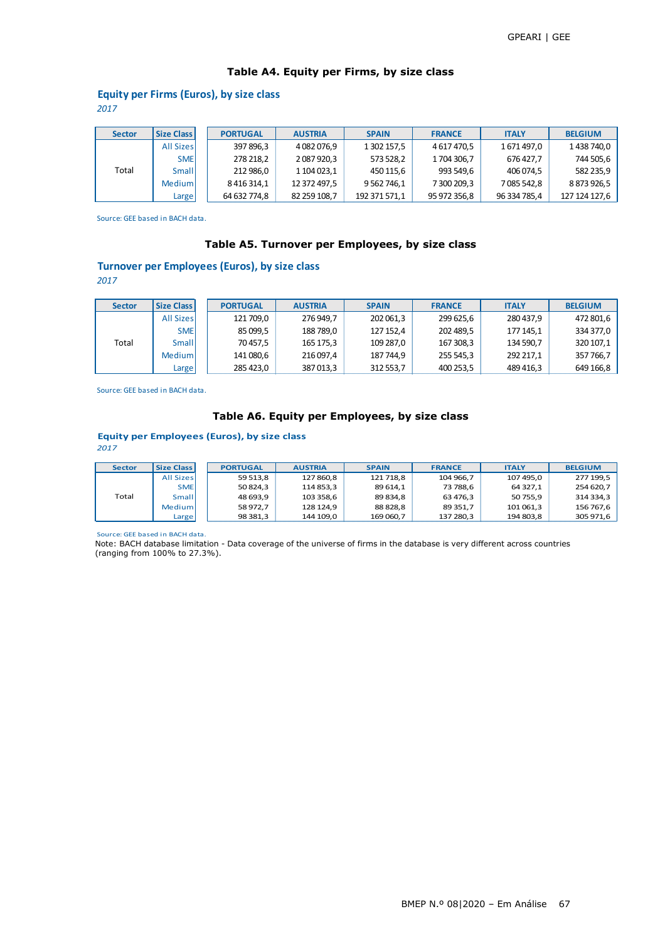# **Table A4. Equity per Firms, by size class**

# **Equity per Firms (Euros), by size class**

*2017*

| <b>Sector</b> | <b>Size Class</b> | <b>PORTUGAL</b>   | <b>AUSTRIA</b> | <b>SPAIN</b>   | <b>FRANCE</b> | <b>ITALY</b> | <b>BELGIUM</b> |
|---------------|-------------------|-------------------|----------------|----------------|---------------|--------------|----------------|
|               | <b>All Sizes</b>  | 397 896,3         | 4082076,9      | 1 302 157,5    | 4 617 470.5   | 1671497,0    | 1438740,0      |
|               | <b>SME</b>        | 278 218,2         | 2 087 920,3    | 573 528,2      | 1704 306.7    | 676 427.7    | 744 505,6      |
| Total         | Small             | 212 986,0         | 1 104 023.1    | 450 115,6      | 993 549,6     | 406 074.5    | 582 235,9      |
|               | Mediuml           | 8 4 1 6 3 1 4 , 1 | 12 372 497,5   | 9 5 62 7 46, 1 | 7 300 209,3   | 7085542.8    | 8873926,5      |
|               | Large             | 64 632 774.8      | 82 259 108,7   | 192 371 571,1  | 95 972 356,8  | 96 334 785,4 | 127 124 127.6  |

Source: GEE based in BACH data.

### **Table A5. Turnover per Employees, by size class**

## **Turnover per Employees (Euros), by size class**

*2017*

| <b>Sector</b> | <b>Size Class</b> | <b>PORTUGAL</b> | <b>AUSTRIA</b> | <b>SPAIN</b> | <b>FRANCE</b> | <b>ITALY</b> | <b>BELGIUM</b> |
|---------------|-------------------|-----------------|----------------|--------------|---------------|--------------|----------------|
|               | <b>All Sizes</b>  | 121 709,0       | 276 949.7      | 202 061,3    | 299 625.6     | 280437.9     | 472 801,6      |
|               | <b>SME</b>        | 85 099.5        | 188 789,0      | 127 152,4    | 202 489.5     | 177 145.1    | 334 377,0      |
| Total         | Small             | 70 457.5        | 165 175,3      | 109 287,0    | 167 308,3     | 134 590.7    | 320 107,1      |
|               | Mediuml           | 141 080,6       | 216 097,4      | 187 744,9    | 255 545,3     | 292 217,1    | 357 766,7      |
|               | Large             | 285 423,0       | 387013,3       | 312 553,7    | 400 253,5     | 489 416,3    | 649 166,8      |

Source: GEE based in BACH data.

## **Table A6. Equity per Employees, by size class**

#### **Equity per Employees (Euros), by size class** *2017*

| <b>Sector</b> | Size Class       | <b>PORTUGAL</b> | <b>AUSTRIA</b> | <b>SPAIN</b> | <b>FRANCE</b> | <b>ITALY</b> | <b>BELGIUM</b> |
|---------------|------------------|-----------------|----------------|--------------|---------------|--------------|----------------|
|               | <b>All Sizes</b> | 59 513.8        | 127 860.8      | 121 718.8    | 104 966.7     | 107 495.0    | 277 199,5      |
|               | <b>SME</b>       | 50 824.3        | 114 853,3      | 89 614.1     | 73 788.6      | 64 327.1     | 254 620,7      |
| Total         | Small            | 48 693.9        | 103 358,6      | 89 834.8     | 63 476.3      | 50 755.9     | 314 334,3      |
|               | Mediuml          | 58 972.7        | 128 124.9      | 88828.8      | 89 351.7      | 101 061.3    | 156 767,6      |
|               | Large!           | 98 381.3        | 144 109.0      | 169 060.7    | 137 280,3     | 194 803.8    | 305 971,6      |

Source: GEE based in BACH data.

Note: BACH database limitation - Data coverage of the universe of firms in the database is very different across countries (ranging from 100% to 27.3%).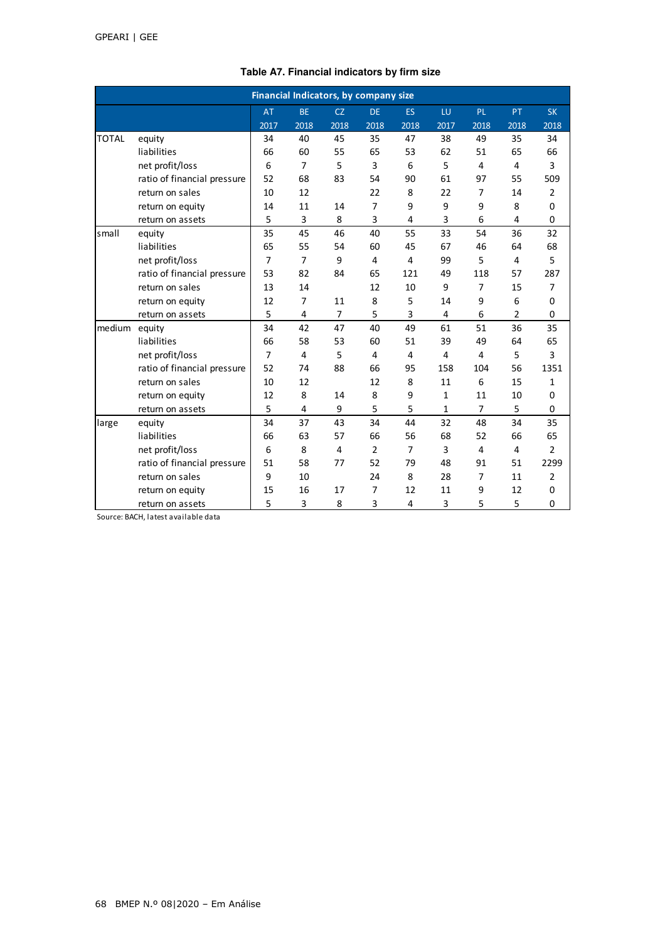|              | Financial Indicators, by company size |                |                |           |                |                |                |                |                |                |  |  |
|--------------|---------------------------------------|----------------|----------------|-----------|----------------|----------------|----------------|----------------|----------------|----------------|--|--|
|              |                                       | <b>AT</b>      | <b>BE</b>      | <b>CZ</b> | <b>DE</b>      | <b>ES</b>      | LU             | PL.            | <b>PT</b>      | <b>SK</b>      |  |  |
|              |                                       | 2017           | 2018           | 2018      | 2018           | 2018           | 2017           | 2018           | 2018           | 2018           |  |  |
| <b>TOTAL</b> | equity                                | 34             | 40             | 45        | 35             | 47             | 38             | 49             | 35             | 34             |  |  |
|              | liabilities                           | 66             | 60             | 55        | 65             | 53             | 62             | 51             | 65             | 66             |  |  |
|              | net profit/loss                       | 6              | $\overline{7}$ | 5         | 3              | 6              | 5              | 4              | $\overline{4}$ | 3              |  |  |
|              | ratio of financial pressure           | 52             | 68             | 83        | 54             | 90             | 61             | 97             | 55             | 509            |  |  |
|              | return on sales                       | 10             | 12             |           | 22             | 8              | 22             | $\overline{7}$ | 14             | $\overline{2}$ |  |  |
|              | return on equity                      | 14             | 11             | 14        | 7              | 9              | 9              | 9              | 8              | $\Omega$       |  |  |
|              | return on assets                      | 5              | 3              | 8         | 3              | $\overline{4}$ | 3              | 6              | 4              | 0              |  |  |
| small        | equity                                | 35             | 45             | 46        | 40             | 55             | 33             | 54             | 36             | 32             |  |  |
|              | liabilities                           | 65             | 55             | 54        | 60             | 45             | 67             | 46             | 64             | 68             |  |  |
|              | net profit/loss                       | $\overline{7}$ | $\overline{7}$ | 9         | $\overline{4}$ | 4              | 99             | 5              | $\overline{4}$ | 5              |  |  |
|              | ratio of financial pressure           | 53             | 82             | 84        | 65             | 121            | 49             | 118            | 57             | 287            |  |  |
|              | return on sales                       | 13             | 14             |           | 12             | 10             | 9              | $\overline{7}$ | 15             | $\overline{7}$ |  |  |
|              | return on equity                      | 12             | $\overline{7}$ | 11        | 8              | 5              | 14             | 9              | 6              | $\mathbf 0$    |  |  |
|              | return on assets                      | 5              | 4              | 7         | 5              | 3              | 4              | 6              | 2              | 0              |  |  |
| medium       | equity                                | 34             | 42             | 47        | 40             | 49             | 61             | 51             | 36             | 35             |  |  |
|              | liabilities                           | 66             | 58             | 53        | 60             | 51             | 39             | 49             | 64             | 65             |  |  |
|              | net profit/loss                       | $\overline{7}$ | $\overline{4}$ | 5         | $\overline{4}$ | 4              | $\overline{4}$ | 4              | 5              | 3              |  |  |
|              | ratio of financial pressure           | 52             | 74             | 88        | 66             | 95             | 158            | 104            | 56             | 1351           |  |  |
|              | return on sales                       | 10             | 12             |           | 12             | 8              | 11             | 6              | 15             | $\mathbf{1}$   |  |  |
|              | return on equity                      | 12             | 8              | 14        | 8              | 9              | 1              | 11             | 10             | 0              |  |  |
|              | return on assets                      | 5              | 4              | 9         | 5              | 5              | 1              | $\overline{7}$ | 5              | 0              |  |  |
| large        | equity                                | 34             | 37             | 43        | 34             | 44             | 32             | 48             | 34             | 35             |  |  |
|              | liabilities                           | 66             | 63             | 57        | 66             | 56             | 68             | 52             | 66             | 65             |  |  |
|              | net profit/loss                       | 6              | 8              | 4         | $\overline{2}$ | $\overline{7}$ | 3              | 4              | 4              | $\overline{2}$ |  |  |
|              | ratio of financial pressure           | 51             | 58             | 77        | 52             | 79             | 48             | 91             | 51             | 2299           |  |  |
|              | return on sales                       | 9              | 10             |           | 24             | 8              | 28             | $\overline{7}$ | 11             | $\overline{2}$ |  |  |
|              | return on equity                      | 15             | 16             | 17        | 7              | 12             | 11             | 9              | 12             | 0              |  |  |
|              | return on assets                      | 5              | 3              | 8         | 3              | 4              | 3              | 5              | 5              | 0              |  |  |

## **Table A7. Financial indicators by firm size**

Source: BACH, latest available data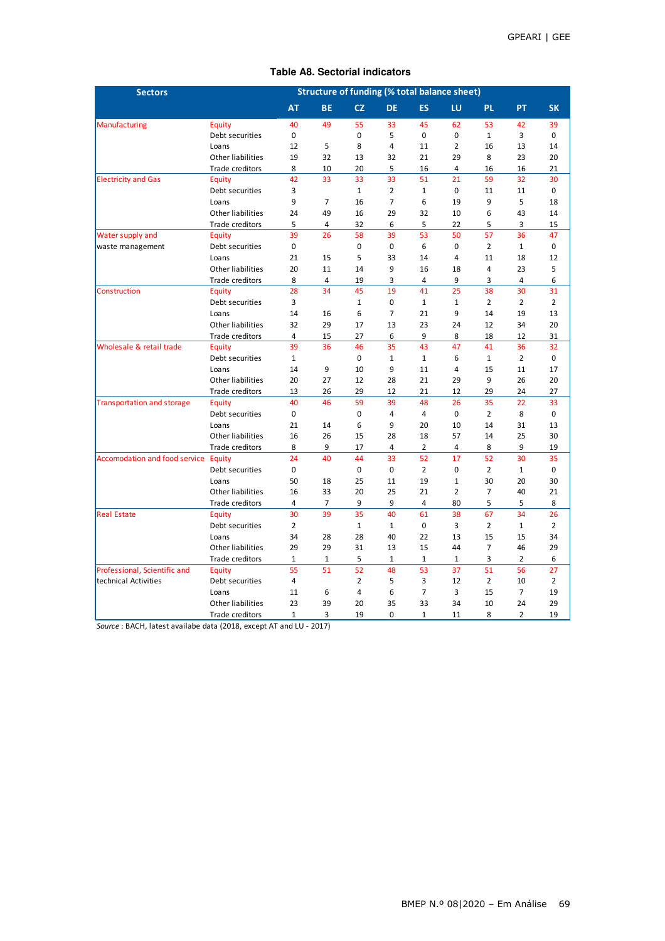| <b>Sectors</b>                       | <b>Structure of funding (% total balance sheet)</b> |                |                |                |                |                |                |                |                |                |  |
|--------------------------------------|-----------------------------------------------------|----------------|----------------|----------------|----------------|----------------|----------------|----------------|----------------|----------------|--|
|                                      |                                                     | AT             | <b>BE</b>      | <b>CZ</b>      | <b>DE</b>      | <b>ES</b>      | LU             | <b>PL</b>      | PT             | <b>SK</b>      |  |
| Manufacturing                        | Equity                                              | 40             | 49             | 55             | 33             | 45             | 62             | 53             | 42             | 39             |  |
|                                      | Debt securities                                     | 0              |                | 0              | 5              | 0              | 0              | $\mathbf{1}$   | 3              | 0              |  |
|                                      | Loans                                               | 12             | 5              | 8              | $\overline{4}$ | 11             | $\overline{2}$ | 16             | 13             | 14             |  |
|                                      | Other liabilities                                   | 19             | 32             | 13             | 32             | 21             | 29             | 8              | 23             | 20             |  |
|                                      | Trade creditors                                     | 8              | 10             | 20             | 5              | 16             | 4              | 16             | 16             | 21             |  |
| <b>Electricity and Gas</b>           | Equity                                              | 42             | 33             | 33             | 33             | 51             | 21             | 59             | 32             | 30             |  |
|                                      | Debt securities                                     | 3              |                | $\mathbf{1}$   | $\overline{2}$ | $\mathbf{1}$   | 0              | 11             | 11             | 0              |  |
|                                      | Loans                                               | 9              | $\overline{7}$ | 16             | $\overline{7}$ | 6              | 19             | 9              | 5              | 18             |  |
|                                      | Other liabilities                                   | 24             | 49             | 16             | 29             | 32             | 10             | 6              | 43             | 14             |  |
|                                      | Trade creditors                                     | 5              | 4              | 32             | 6              | 5              | 22             | 5              | 3              | 15             |  |
| Water supply and                     | Equity                                              | 39             | 26             | 58             | 39             | 53             | 50             | 57             | 36             | 47             |  |
| waste management                     | Debt securities                                     | 0              |                | $\mathbf 0$    | $\mathbf 0$    | 6              | 0              | $\overline{2}$ | $\mathbf{1}$   | 0              |  |
|                                      | Loans                                               | 21             | 15             | 5              | 33             | 14             | 4              | 11             | 18             | 12             |  |
|                                      | Other liabilities                                   | 20             | 11             | 14             | 9              | 16             | 18             | 4              | 23             | 5              |  |
|                                      | Trade creditors                                     | 8              | 4              | 19             | 3              | 4              | 9              | 3              | 4              | 6              |  |
| Construction                         | Equity                                              | 28             | 34             | 45             | 19             | 41             | 25             | 38             | 30             | 31             |  |
|                                      | Debt securities                                     | 3              |                | $\mathbf{1}$   | $\mathbf 0$    | $\mathbf{1}$   | $\mathbf{1}$   | $\overline{2}$ | $\overline{2}$ | $\overline{2}$ |  |
|                                      | Loans                                               | 14             | 16             | 6              | $\overline{7}$ | 21             | 9              | 14             | 19             | 13             |  |
|                                      | Other liabilities                                   | 32             | 29             | 17             | 13             | 23             | 24             | 12             | 34             | 20             |  |
|                                      | Trade creditors                                     | 4              | 15             | 27             | 6              | 9              | 8              | 18             | 12             | 31             |  |
| Wholesale & retail trade             | Equity                                              | 39             | 36             | 46             | 35             | 43             | 47             | 41             | 36             | 32             |  |
|                                      | Debt securities                                     | $\mathbf{1}$   |                | 0              | $\mathbf{1}$   | $\mathbf{1}$   | 6              | $\mathbf{1}$   | $\overline{2}$ | 0              |  |
|                                      | Loans                                               | 14             | 9              | 10             | 9              | 11             | 4              | 15             | 11             | 17             |  |
|                                      | Other liabilities                                   | 20             | 27             | 12             | 28             | 21             | 29             | 9              | 26             | 20             |  |
|                                      | Trade creditors                                     | 13             | 26             | 29             | 12             | 21             | 12             | 29             | 24             | 27             |  |
| <b>Transportation and storage</b>    | Equity                                              | 40             | 46             | 59             | 39             | 48             | 26             | 35             | 22             | 33             |  |
|                                      | Debt securities                                     | $\Omega$       |                | $\Omega$       | $\overline{4}$ | 4              | $\Omega$       | $\overline{2}$ | 8              | 0              |  |
|                                      | Loans                                               | 21             | 14             | 6              | 9              | 20             | 10             | 14             | 31             | 13             |  |
|                                      | Other liabilities                                   | 16             | 26             | 15             | 28             | 18             | 57             | 14             | 25             | 30             |  |
|                                      | Trade creditors                                     | 8              | 9              | 17             | 4              | 2              | 4              | 8              | 9              | 19             |  |
| <b>Accomodation and food service</b> | Equity                                              | 24             | 40             | 44             | 33             | 52             | 17             | 52             | 30             | 35             |  |
|                                      | Debt securities                                     | 0              |                | $\mathbf 0$    | 0              | $\overline{2}$ | 0              | $\overline{2}$ | $\mathbf{1}$   | 0              |  |
|                                      | Loans                                               | 50             | 18             | 25             | 11             | 19             | $\mathbf{1}$   | 30             | 20             | 30             |  |
|                                      | Other liabilities                                   | 16             | 33             | 20             | 25             | 21             | $\overline{2}$ | $\overline{7}$ | 40             | 21             |  |
|                                      | Trade creditors                                     | 4              | $\overline{7}$ | 9              | 9              | 4              | 80             | 5              | 5              | 8              |  |
| <b>Real Estate</b>                   | Equity                                              | 30             | 39             | 35             | 40             | 61             | 38             | 67             | 34             | 26             |  |
|                                      | Debt securities                                     | $\overline{2}$ |                | $1\,$          | $\mathbf{1}$   | 0              | 3              | $\overline{2}$ | $\mathbf 1$    | $\overline{2}$ |  |
|                                      | Loans                                               | 34             | 28             | 28             | 40             | 22             | 13             | 15             | 15             | 34             |  |
|                                      | Other liabilities                                   | 29             | 29             | 31             | 13             | 15             | 44             | $\overline{7}$ | 46             | 29             |  |
|                                      | Trade creditors                                     | $\mathbf{1}$   | $\mathbf{1}$   | 5              | $\mathbf{1}$   | $\mathbf{1}$   | $\mathbf{1}$   | 3              | $\overline{2}$ | 6              |  |
| Professional, Scientific and         | Equity                                              | 55             | 51             | 52             | 48             | 53             | 37             | 51             | 56             | 27             |  |
| technical Activities                 | Debt securities                                     | 4              |                | $\overline{2}$ | 5              | 3              | 12             | $\overline{2}$ | 10             | $\overline{2}$ |  |
|                                      | Loans                                               | 11             | 6              | $\overline{4}$ | 6              | $\overline{7}$ | 3              | 15             | $\overline{7}$ | 19             |  |
|                                      | Other liabilities                                   | 23             | 39             | 20             | 35             | 33             | 34             | 10             | 24             | 29             |  |
|                                      | Trade creditors                                     | $\mathbf{1}$   | 3              | 19             | 0              | $\mathbf{1}$   | 11             | 8              | $\overline{2}$ | 19             |  |

### **Table A8. Sectorial indicators**

*Source* : BACH, latest availabe data (2018, except AT and LU - 2017)